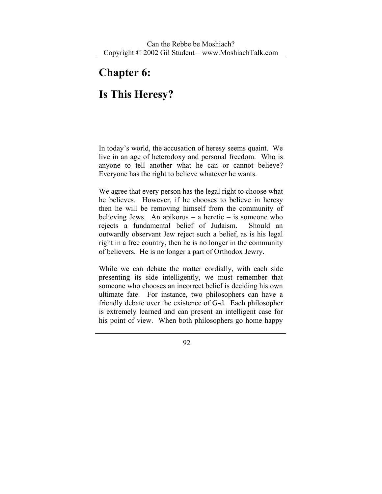## **Chapter 6:**

## **Is This Heresy?**

In today's world, the accusation of heresy seems quaint. We live in an age of heterodoxy and personal freedom. Who is anyone to tell another what he can or cannot believe? Everyone has the right to believe whatever he wants.

We agree that every person has the legal right to choose what he believes. However, if he chooses to believe in heresy then he will be removing himself from the community of believing Jews. An apikorus – a heretic – is someone who rejects a fundamental belief of Judaism. Should an outwardly observant Jew reject such a belief, as is his legal right in a free country, then he is no longer in the community of believers. He is no longer a part of Orthodox Jewry.

While we can debate the matter cordially, with each side presenting its side intelligently, we must remember that someone who chooses an incorrect belief is deciding his own ultimate fate. For instance, two philosophers can have a friendly debate over the existence of G-d. Each philosopher is extremely learned and can present an intelligent case for his point of view. When both philosophers go home happy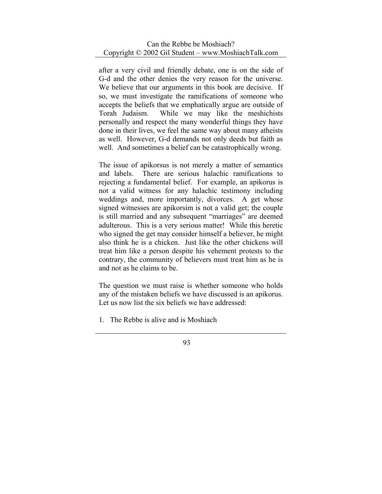after a very civil and friendly debate, one is on the side of G-d and the other denies the very reason for the universe. We believe that our arguments in this book are decisive. If so, we must investigate the ramifications of someone who accepts the beliefs that we emphatically argue are outside of Torah Judaism. While we may like the meshichists personally and respect the many wonderful things they have done in their lives, we feel the same way about many atheists as well. However, G-d demands not only deeds but faith as well. And sometimes a belief can be catastrophically wrong.

The issue of apikorsus is not merely a matter of semantics and labels. There are serious halachic ramifications to rejecting a fundamental belief. For example, an apikorus is not a valid witness for any halachic testimony including weddings and, more importantly, divorces. A get whose signed witnesses are apikorsim is not a valid get; the couple is still married and any subsequent "marriages" are deemed adulterous. This is a very serious matter! While this heretic who signed the get may consider himself a believer, he might also think he is a chicken. Just like the other chickens will treat him like a person despite his vehement protests to the contrary, the community of believers must treat him as he is and not as he claims to be.

The question we must raise is whether someone who holds any of the mistaken beliefs we have discussed is an apikorus. Let us now list the six beliefs we have addressed:

1. The Rebbe is alive and is Moshiach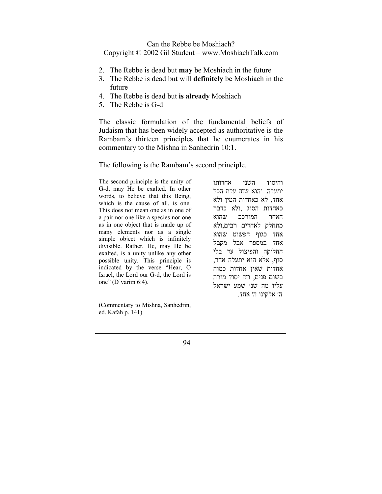- 2. The Rebbe is dead but **may** be Moshiach in the future
- 3. The Rebbe is dead but will **definitely** be Moshiach in the future
- 4. The Rebbe is dead but **is already** Moshiach
- 5. The Rebbe is G-d

The classic formulation of the fundamental beliefs of Judaism that has been widely accepted as authoritative is the Rambam's thirteen principles that he enumerates in his commentary to the Mishna in Sanhedrin 10:1.

The following is the Rambam's second principle.

The second principle is the unity of G-d, may He be exalted. In other words, to believe that this Being, which is the cause of all, is one. This does not mean one as in one of a pair nor one like a species nor one as in one object that is made up of many elements nor as a single simple object which is infinitely divisible. Rather, He, may He be exalted, is a unity unlike any other possible unity. This principle is indicated by the verse "Hear, O Israel, the Lord our G-d, the Lord is one" (D'varim 6:4).

(Commentary to Mishna, Sanhedrin, ed. Kafah p. 141)

והיסוד השני אחדותו יתעלה. והוא שזה עלת הכל אחד, לא כאחדות המין ולא כאחדות הסוג ,ולא כדבר האחר המורכב שהוא מתחלק לאחדים רבים,ולא אחד כגוף הפשוט שהוא אחד במספר אבל מקבל החלוקה והפיצול עד בלי סוף, אלא הוא יתעלה אחד, אחדות שאין אחדות כמוה בשום פנים, וזה יסוד מורה עליו מה שנ׳ שמע ישראל ה׳ אלקינו ה׳ אחד.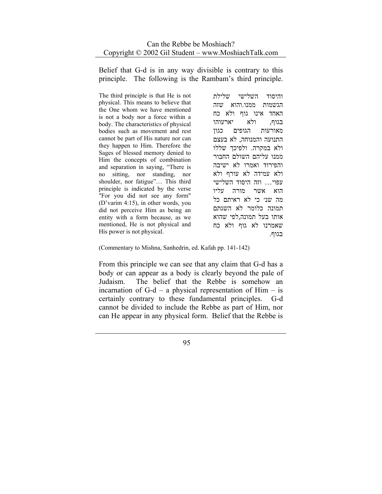Belief that G-d is in any way divisible is contrary to this principle. The following is the Rambam's third principle.

The third principle is that He is not physical. This means to believe that the One whom we have mentioned is not a body nor a force within a body. The characteristics of physical bodies such as movement and rest cannot be part of His nature nor can they happen to Him. Therefore the Sages of blessed memory denied to Him the concepts of combination and separation in saying, "There is no sitting, nor standing, nor shoulder, nor fatigue"… This third principle is indicated by the verse "For you did not see any form" (D'varim 4:15), in other words, you did not perceive Him as being an entity with a form because, as we mentioned, He is not physical and His power is not physical.

והיסוד השלישי שלילת הגשמות ממנו.והוא שזה האחד אינו גוף ולא כח בגוף, ולא יארעוהו מאורעות הגופים כגון התנועה והמנוחה, לא בעצם ולא במקרה. ולפיכך שללו ממנו עליהם השולם החבור והפירוד ואמרו לא ישיבה ולא עמידה לא עורף ולא עפוי... וזה היסוד השלישי הוא אשר מורה עליו מה שנ׳ כי לא ראיתם כל תמונה כלומר לא השגתם אותו בעל תמונה,לפי שהוא שאמרנו לא גוף ולא כח בגוף.

(Commentary to Mishna, Sanhedrin, ed. Kafah pp. 141-142)

From this principle we can see that any claim that G-d has a body or can appear as a body is clearly beyond the pale of Judaism. The belief that the Rebbe is somehow an incarnation of  $G-d - a$  physical representation of  $\text{Him} - \text{is}$ certainly contrary to these fundamental principles. G-d cannot be divided to include the Rebbe as part of Him, nor can He appear in any physical form. Belief that the Rebbe is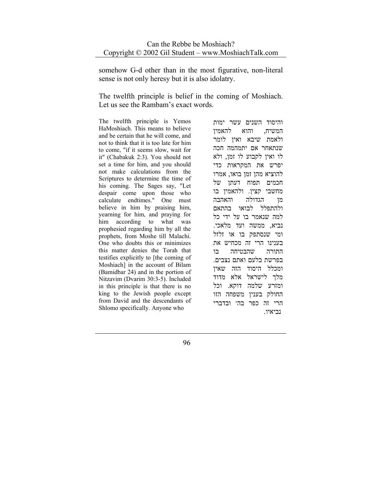somehow G-d other than in the most figurative, non-literal sense is not only heresy but it is also idolatry.

The twelfth principle is belief in the coming of Moshiach. Let us see the Rambam's exact words.

The twelfth principle is Yemos HaMoshiach. This means to believe and be certain that he will come, and not to think that it is too late for him to come, "if it seems slow, wait for it" (Chabakuk 2:3). You should not set a time for him, and you should not make calculations from the Scriptures to determine the time of his coming. The Sages say, "Let despair come upon those who calculate endtimes." One must believe in him by praising him, yearning for him, and praying for him according to what was prophesied regarding him by all the prophets, from Moshe till Malachi. One who doubts this or minimizes this matter denies the Torah that testifies explicitly to [the coming of Moshiach] in the account of Bilam (Bamidbar 24) and in the portion of Nitzavim (Dvarim 30:3-5). Included in this principle is that there is no king to the Jewish people except from David and the descendants of Shlomo specifically. Anyone who

והיסוד השנים עשר ימות המשיח, והוא להאמין ולאמת שיבא ואין לומר שנתאחר אם יתמהמה חכה לו ואין לקבוע לו זמן, ולא יפרש את המקראות כדי להוציא מהן זמן בואו, אמרו חכמים תפוח דעתן של מחשבי קצין. ולהאמין בו מן הגדולה והאהבה ולהתפלל לבואו בהתאם למה שנאמר בו על ידי כל נביא, ממשה ועד מלאכי. ומי שנסתפק בו או זלזל בענינו הרי זה מכחיש את התורה שהבטיחה בו בפרשת בלעם ואתם נצבים. ומכלל היסוד הזה שאין מלך לישראל אלא מדוד ומזרע שלמה דוקא. וכל החולק בענין משפחה הזו הרי זה כפר בה׳ ובדברי נביאיו.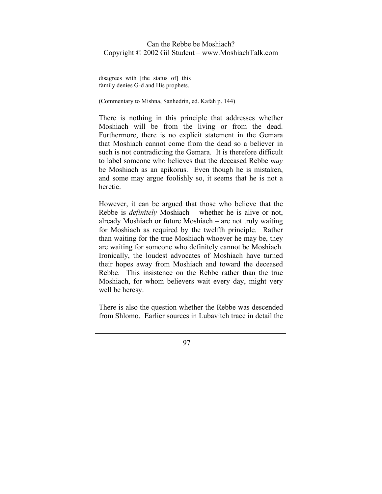disagrees with [the status of] this family denies G-d and His prophets.

(Commentary to Mishna, Sanhedrin, ed. Kafah p. 144)

There is nothing in this principle that addresses whether Moshiach will be from the living or from the dead. Furthermore, there is no explicit statement in the Gemara that Moshiach cannot come from the dead so a believer in such is not contradicting the Gemara. It is therefore difficult to label someone who believes that the deceased Rebbe *may* be Moshiach as an apikorus. Even though he is mistaken, and some may argue foolishly so, it seems that he is not a heretic.

However, it can be argued that those who believe that the Rebbe is *definitely* Moshiach – whether he is alive or not, already Moshiach or future Moshiach – are not truly waiting for Moshiach as required by the twelfth principle. Rather than waiting for the true Moshiach whoever he may be, they are waiting for someone who definitely cannot be Moshiach. Ironically, the loudest advocates of Moshiach have turned their hopes away from Moshiach and toward the deceased Rebbe. This insistence on the Rebbe rather than the true Moshiach, for whom believers wait every day, might very well be heresy.

There is also the question whether the Rebbe was descended from Shlomo. Earlier sources in Lubavitch trace in detail the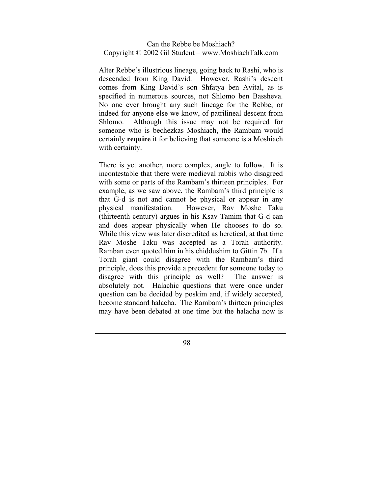Alter Rebbe's illustrious lineage, going back to Rashi, who is descended from King David. However, Rashi's descent comes from King David's son Shfatya ben Avital, as is specified in numerous sources, not Shlomo ben Bassheva. No one ever brought any such lineage for the Rebbe, or indeed for anyone else we know, of patrilineal descent from Shlomo. Although this issue may not be required for someone who is bechezkas Moshiach, the Rambam would certainly **require** it for believing that someone is a Moshiach with certainty.

There is yet another, more complex, angle to follow. It is incontestable that there were medieval rabbis who disagreed with some or parts of the Rambam's thirteen principles. For example, as we saw above, the Rambam's third principle is that G-d is not and cannot be physical or appear in any physical manifestation. However, Rav Moshe Taku (thirteenth century) argues in his Ksav Tamim that G-d can and does appear physically when He chooses to do so. While this view was later discredited as heretical, at that time Rav Moshe Taku was accepted as a Torah authority. Ramban even quoted him in his chiddushim to Gittin 7b. If a Torah giant could disagree with the Rambam's third principle, does this provide a precedent for someone today to disagree with this principle as well? The answer is absolutely not. Halachic questions that were once under question can be decided by poskim and, if widely accepted, become standard halacha. The Rambam's thirteen principles may have been debated at one time but the halacha now is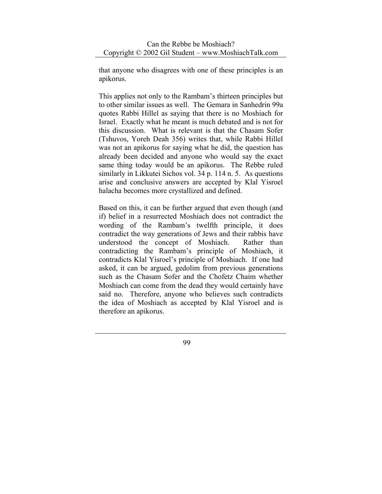that anyone who disagrees with one of these principles is an apikorus.

This applies not only to the Rambam's thirteen principles but to other similar issues as well. The Gemara in Sanhedrin 99a quotes Rabbi Hillel as saying that there is no Moshiach for Israel. Exactly what he meant is much debated and is not for this discussion. What is relevant is that the Chasam Sofer (Tshuvos, Yoreh Deah 356) writes that, while Rabbi Hillel was not an apikorus for saying what he did, the question has already been decided and anyone who would say the exact same thing today would be an apikorus. The Rebbe ruled similarly in Likkutei Sichos vol. 34 p. 114 n. 5. As questions arise and conclusive answers are accepted by Klal Yisroel halacha becomes more crystallized and defined.

Based on this, it can be further argued that even though (and if) belief in a resurrected Moshiach does not contradict the wording of the Rambam's twelfth principle, it does contradict the way generations of Jews and their rabbis have understood the concept of Moshiach. Rather than contradicting the Rambam's principle of Moshiach, it contradicts Klal Yisroel's principle of Moshiach. If one had asked, it can be argued, gedolim from previous generations such as the Chasam Sofer and the Chofetz Chaim whether Moshiach can come from the dead they would certainly have said no. Therefore, anyone who believes such contradicts the idea of Moshiach as accepted by Klal Yisroel and is therefore an apikorus.